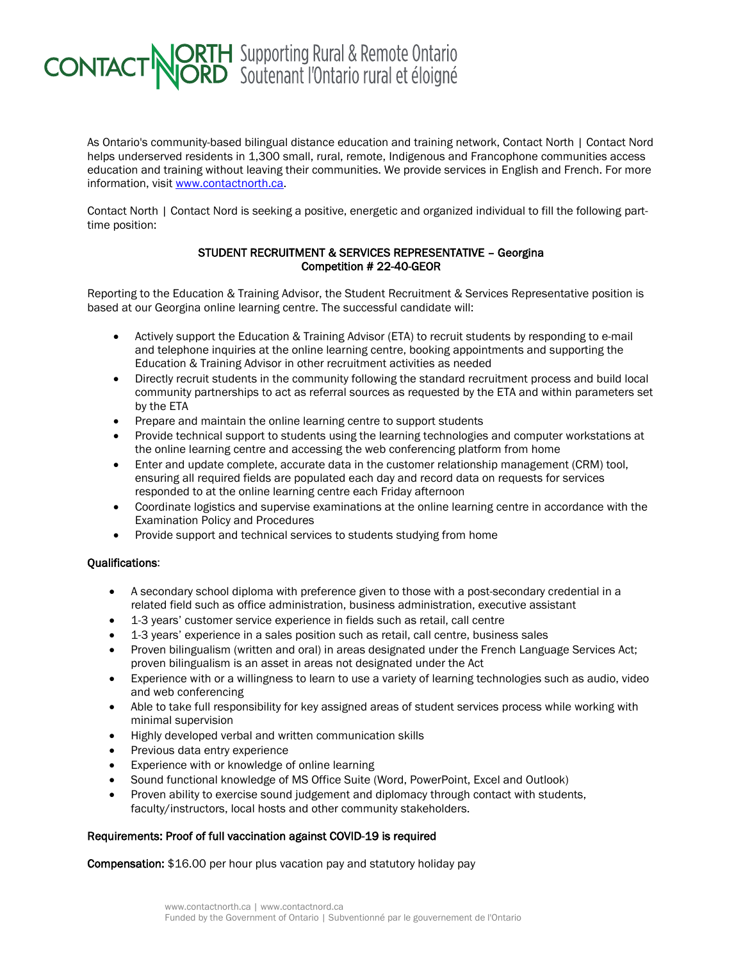## **CONTACT NORTH** Supporting Rural & Remote Ontario

As Ontario's community-based bilingual distance education and training network, Contact North | Contact Nord helps underserved residents in 1,300 small, rural, remote, Indigenous and Francophone communities access education and training without leaving their communities. We provide services in English and French. For more information, visit [www.contactnorth.ca.](http://www.contactnorth.ca/)

Contact North | Contact Nord is seeking a positive, energetic and organized individual to fill the following parttime position:

## STUDENT RECRUITMENT & SERVICES REPRESENTATIVE – Georgina Competition # 22-40-GEOR

Reporting to the Education & Training Advisor, the Student Recruitment & Services Representative position is based at our Georgina online learning centre. The successful candidate will:

- Actively support the Education & Training Advisor (ETA) to recruit students by responding to e-mail and telephone inquiries at the online learning centre, booking appointments and supporting the Education & Training Advisor in other recruitment activities as needed
- Directly recruit students in the community following the standard recruitment process and build local community partnerships to act as referral sources as requested by the ETA and within parameters set by the ETA
- Prepare and maintain the online learning centre to support students
- Provide technical support to students using the learning technologies and computer workstations at the online learning centre and accessing the web conferencing platform from home
- Enter and update complete, accurate data in the customer relationship management (CRM) tool. ensuring all required fields are populated each day and record data on requests for services responded to at the online learning centre each Friday afternoon
- Coordinate logistics and supervise examinations at the online learning centre in accordance with the Examination Policy and Procedures
- Provide support and technical services to students studying from home

## Qualifications:

- A secondary school diploma with preference given to those with a post-secondary credential in a related field such as office administration, business administration, executive assistant
- 1-3 years' customer service experience in fields such as retail, call centre
- 1-3 years' experience in a sales position such as retail, call centre, business sales
- Proven bilingualism (written and oral) in areas designated under the French Language Services Act; proven bilingualism is an asset in areas not designated under the Act
- Experience with or a willingness to learn to use a variety of learning technologies such as audio, video and web conferencing
- Able to take full responsibility for key assigned areas of student services process while working with minimal supervision
- Highly developed verbal and written communication skills
- Previous data entry experience
- Experience with or knowledge of online learning
- Sound functional knowledge of MS Office Suite (Word, PowerPoint, Excel and Outlook)
- Proven ability to exercise sound judgement and diplomacy through contact with students, faculty/instructors, local hosts and other community stakeholders.

## Requirements: Proof of full vaccination against COVID-19 is required

Compensation: \$16.00 per hour plus vacation pay and statutory holiday pay